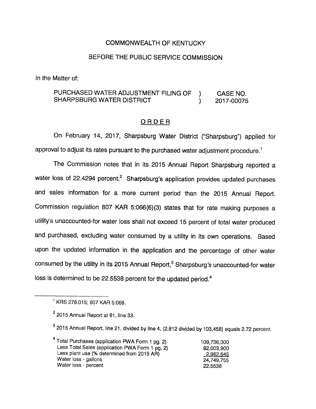## COMMONWEALTH OF KENTUCKY

## BEFORE THE PUBLIC SERVICE COMMISSION

In the Matter of:

# PURCHASED WATER ADJUSTMENT FILING OF ) CASE NO. SHARPSBURG WATER DISTRICT  $\qquad \qquad$  2017-00075

### ORDER

On February 14, 2017, Sharpsburg Water District ("Sharpsburg") appiied for approval to adjust its rates pursuant to the purchased water adjustment procedure.<sup>1</sup>

The Commission notes that in its 2015 Annual Report Sharpsburg reported a water loss of 22.4294 percent.<sup>2</sup> Sharpsburg's application provides updated purchases and saies information for a more current period than the 2015 Annual Report. Commission reguiation 807 KAR 5:066(6)(3) states that for rate making purposes a utility's unaccounted-for water ioss shall not exceed 15 percent of total water produced and purchased, excluding water consumed by a utility in its own operations. Based upon the updated information in the application and the percentage of other water consumed by the utility in its 2015 Annual Report,<sup>3</sup> Sharpsburg's unaccounted-for water loss is determined to be 22.5538 percent for the updated period. $4$ 

<sup>4</sup> Total Purchases (application PWA Form 1 pg. 2) 109,736,300 Less Total Sales (application PWA Form 1 pg. 2) 82,003,900 Less plant use (% determined from 2015 AR) 2.982.645 Water loss - gallons 24,749,755 Water loss - percent 22.5538

 $^1$  KRS 278.015; 807 KAR 5:068.

 $<sup>2</sup>$  2015 Annual Report at 61, line 33.</sup>

 $^3$  2015 Annual Report, line 21, divided by line 4, (2,812 divided by 103,458) equals 2.72 percent.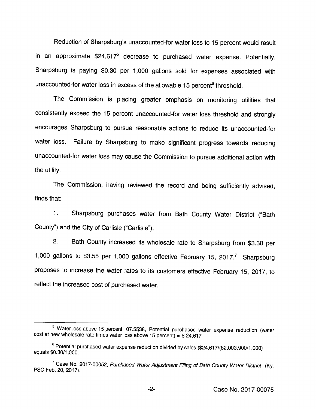Reduction of Sharpsburg's unaccounted-for water loss to 15 percent would result in an approximate  $$24,617<sup>5</sup>$  decrease to purchased water expense. Potentially, Sharpsburg is paying \$0.30 per 1,000 gallons sold for expenses associated with unaccounted-for water loss in excess of the allowable 15 percent<sup>6</sup> threshold.

The Commission is placing greater emphasis on monitoring utilities that consistently exceed the 15 percent unaccounted-for water loss threshold and strongly encourages Sharpsburg to pursue reasonable actions to reduce its unaccounted-for water loss. Failure by Sharpsburg to make significant progress towards reducing unaccounted-for water loss may cause the Commission to pursue additional action with the utility.

The Commission, having reviewed the record and being sufficiently advised, finds that:

1. Sharpsburg purchases water from Bath County Water District ("Bath County") and the City of Carlisle ("Carlisle").

2. Bath County increased its wholesale rate to Sharpsburg from \$3.38 per 1,000 gallons to \$3.55 per 1,000 gallons effective February 15, 2017.<sup>7</sup> Sharpsburg proposes to increase the water rates to its customers effective February 15, 2017, to reflect the increased cost of purchased water.

<sup>&</sup>lt;sup>5</sup> Water loss above 15 percent 07.5538, Potential purchased water expense reduction (water cost at new wholesale rate times water loss above 15 percent) =  $$24,617$ 

<sup>®</sup>Potential purchased water expense reduction divided by sales (\$24,617/(82,003,900/1,000) equals \$0.30/1,000.

<sup>&</sup>lt;sup>7</sup> Case No. 2017-00052, Purchased Water Adjustment Filing of Bath County Water District (Ky. PSC Feb. 20, 2017).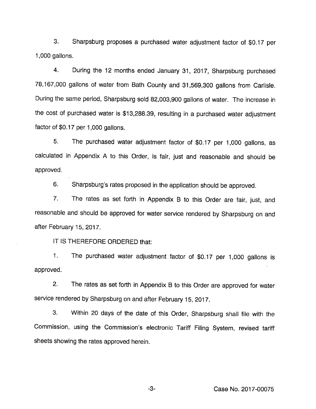3. Sharpsburg proposes a purchased water adjustment factor of \$0.17 per 1,000 gallons.

4. During the 12 months ended January 31, 2017, Sharpsburg purchased 78,167,000 gallons of water from Bath County and 31,569,300 gallons from Carlisle. During the same period, Sharpsburg sold 82,003,900 gallons of water. The increase in the cost of purchased water is \$13,288.39, resulting in a purchased water adjustment factor of \$0.17 per 1,000 gallons.

5. The purchased water adjustment factor of \$0.17 per 1,000 gallons, as calculated in Appendix A to this Order, is fair, just and reasonable and should be approved.

6. Sharpsburg's rates proposed in the application should be approved.

7. The rates as set forth in Appendix B to this Order are fair, just, and reasonable and should be approved for water service rendered by Sharpsburg on and after February 15, 2017.

IT IS THEREFORE ORDERED that:

1. The purchased water adjustment factor of \$0.17 per 1,000 gallons is approved.

2. The rates as set forth in Appendix B to this Order are approved for water service rendered by Sharpsburg on and after February 15, 2017.

3. Within 20 days of the date of this Order, Sharpsburg shall file with the Commission, using the Commission's electronic Tariff Filing System, revised tariff sheets showing the rates approved herein.

Case No. 2017-00075

 $-3-$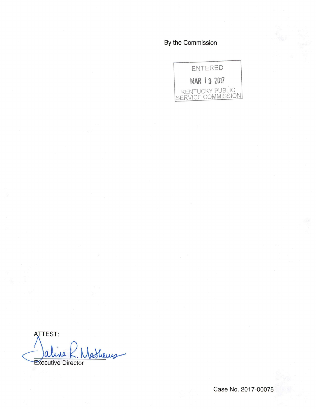By the Commission



ATTEST: Shews **Executive Director** 

Case No. 2017-00075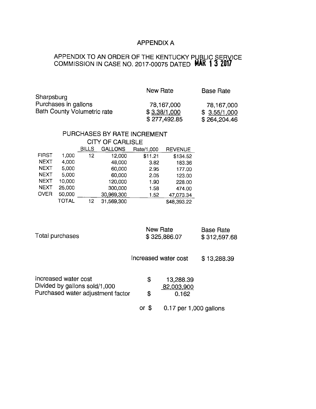## APPENDIX A

#### APPENDIX TO AN ORDER OF THE KENTUCKY P COMMISSION IN CASE NO. 2017-00075 DATED LIÇ SERVICE 1 3 2017

|                                    | New Rate     | <b>Base Rate</b> |
|------------------------------------|--------------|------------------|
| Sharpsburg                         |              |                  |
| Purchases in gallons               | 78,167,000   | 78,167,000       |
| <b>Bath County Volumetric rate</b> | \$3.38/1,000 | \$3.55/1,000     |
|                                    | \$277,492.85 | \$264,204.46     |

# PURCHASES BY RATE INCREMENT

|              | <b>CITY OF CARLISLE</b> |              |            |            |                |
|--------------|-------------------------|--------------|------------|------------|----------------|
|              |                         | <b>BILLS</b> | GALLONS    | Rate/1,000 | <b>REVENUE</b> |
| <b>FIRST</b> | 1.000                   | 12           | 12,000     | \$11.21    | \$134.52       |
| <b>NEXT</b>  | 4,000                   |              | 48,000     | 3.82       | 183.36         |
| <b>NEXT</b>  | 5,000                   |              | 60,000     | 2.95       | 177.00         |
| <b>NEXT</b>  | 5,000                   |              | 60,000     | 2.05       | 123.00         |
| <b>NEXT</b>  | 10,000                  |              | 120,000    | 1.90       | 228.00         |
| <b>NEXT</b>  | 25,000                  |              | 300,000    | 1.58       | 474.00         |
| <b>OVER</b>  | 50,000                  |              | 30,969,300 | 1.52       | 47,073.34      |
|              | TOTAL                   | 12           | 31,569,300 |            | \$48,393.22    |

| Total purchases |
|-----------------|
|-----------------|

New Rate Base Rate \$ 325,886.07

\$312,597.68

Increased water cost \$13,288.39

| Increased water cost<br>Divided by gallons sold/1,000<br>Purchased water adjustment factor | S<br>£. | 13,288.39<br>82,003,900<br>0.162 |
|--------------------------------------------------------------------------------------------|---------|----------------------------------|
|                                                                                            | or \$   | 0.17 per 1,000 gallons           |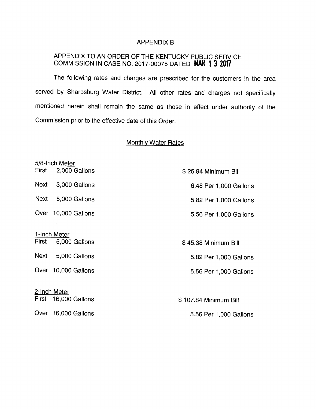### APPENDIX B

### APPENDIX TO AN ORDER OF THE KENTUCKY PUBLIC SERVICE COMMISSION IN CASE NO. 2017-00075 DATED MAR 1 3 2017

The following rates and charges are prescribed for the customers in the area served by Sharpsburg Water District. All other rates and charges not specifically mentioned herein shall remain the same as those in effect under authority of the Commission prior to the effective date of this Order.

## Monthlv Water Rates

|       | 5/8-Inch Meter       |                        |
|-------|----------------------|------------------------|
| First | 2,000 Gallons        | \$25.94 Minimum Bill   |
|       | Next 3,000 Gallons   | 6.48 Per 1,000 Gallons |
| Next  | 5,000 Gallons        | 5.82 Per 1,000 Gallons |
| Over  | 10,000 Gallons       | 5.56 Per 1,000 Gallons |
|       |                      |                        |
|       | 1-Inch Meter         |                        |
| First | 5,000 Gallons        | \$45.38 Minimum Bill   |
|       | Next 5,000 Gallons   | 5.82 Per 1,000 Gallons |
|       | Over 10,000 Gallons  | 5.56 Per 1,000 Gallons |
|       |                      |                        |
|       | 2-Inch Meter         |                        |
|       | First 16,000 Gallons | \$107.84 Minimum Bill  |
|       | Over 16,000 Gallons  | 5.56 Per 1,000 Gallons |